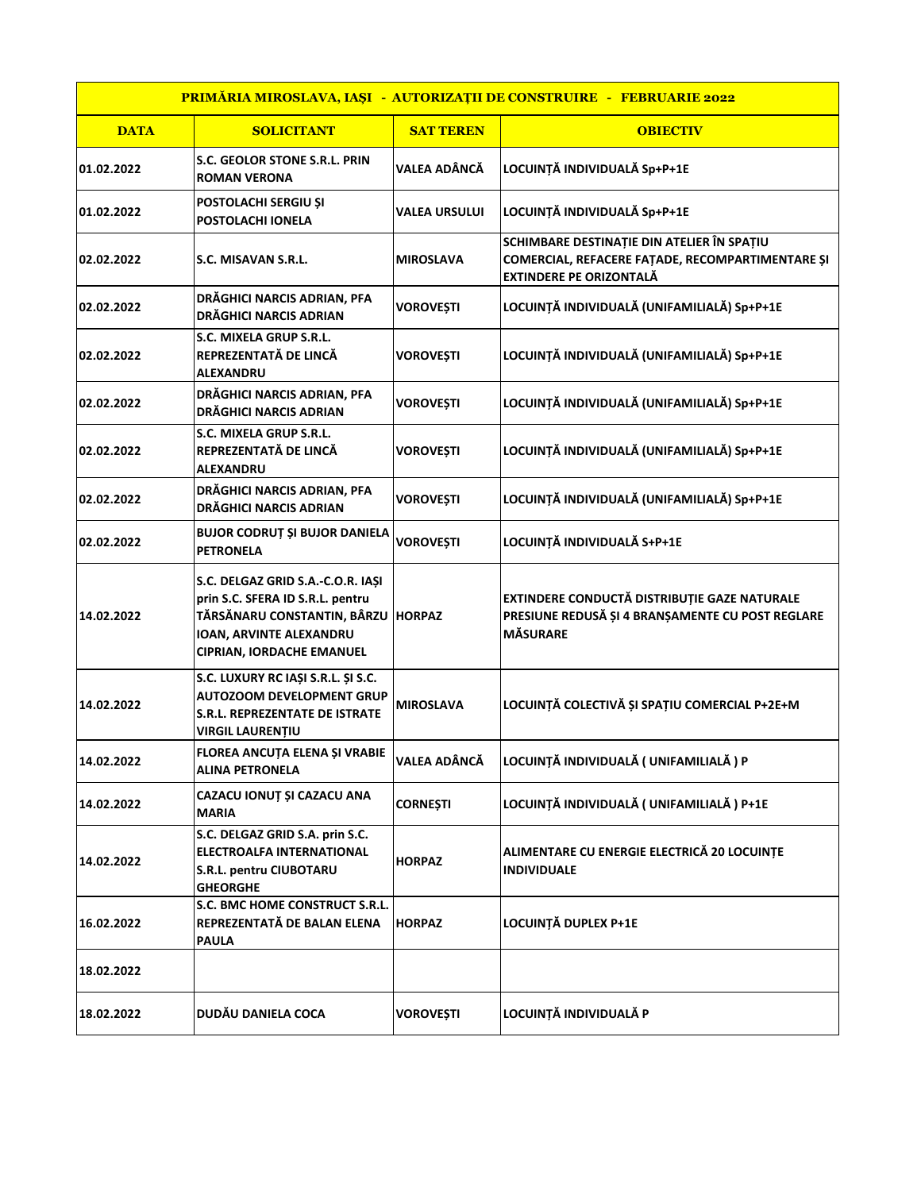| PRIMĂRIA MIROSLAVA, IAȘI - AUTORIZAȚII DE CONSTRUIRE - FEBRUARIE 2022 |                                                                                                                                                                     |                      |                                                                                                                                  |  |  |
|-----------------------------------------------------------------------|---------------------------------------------------------------------------------------------------------------------------------------------------------------------|----------------------|----------------------------------------------------------------------------------------------------------------------------------|--|--|
| <b>DATA</b>                                                           | <b>SOLICITANT</b>                                                                                                                                                   | <b>SAT TEREN</b>     | <b>OBIECTIV</b>                                                                                                                  |  |  |
| 01.02.2022                                                            | S.C. GEOLOR STONE S.R.L. PRIN<br><b>ROMAN VERONA</b>                                                                                                                | <b>VALEA ADÂNCĂ</b>  | LOCUINȚĂ INDIVIDUALĂ Sp+P+1E                                                                                                     |  |  |
| 01.02.2022                                                            | POSTOLACHI SERGIU ȘI<br>POSTOLACHI IONELA                                                                                                                           | <b>VALEA URSULUI</b> | LOCUINȚĂ INDIVIDUALĂ Sp+P+1E                                                                                                     |  |  |
| 02.02.2022                                                            | S.C. MISAVAN S.R.L.                                                                                                                                                 | <b>MIROSLAVA</b>     | SCHIMBARE DESTINAȚIE DIN ATELIER ÎN SPAȚIU<br>COMERCIAL, REFACERE FAȚADE, RECOMPARTIMENTARE ȘI<br><b>EXTINDERE PE ORIZONTALĂ</b> |  |  |
| 02.02.2022                                                            | DRĂGHICI NARCIS ADRIAN, PFA<br><b>DRĂGHICI NARCIS ADRIAN</b>                                                                                                        | <b>VOROVEȘTI</b>     | LOCUINȚĂ INDIVIDUALĂ (UNIFAMILIALĂ) Sp+P+1E                                                                                      |  |  |
| 02.02.2022                                                            | S.C. MIXELA GRUP S.R.L.<br>REPREZENTATĂ DE LINCĂ<br><b>ALEXANDRU</b>                                                                                                | <b>VOROVEȘTI</b>     | LOCUINȚĂ INDIVIDUALĂ (UNIFAMILIALĂ) Sp+P+1E                                                                                      |  |  |
| 02.02.2022                                                            | DRĂGHICI NARCIS ADRIAN, PFA<br><b>DRĂGHICI NARCIS ADRIAN</b>                                                                                                        | <b>VOROVEȘTI</b>     | LOCUINȚĂ INDIVIDUALĂ (UNIFAMILIALĂ) Sp+P+1E                                                                                      |  |  |
| 02.02.2022                                                            | S.C. MIXELA GRUP S.R.L.<br>REPREZENTATĂ DE LINCĂ<br><b>ALEXANDRU</b>                                                                                                | <b>VOROVEȘTI</b>     | LOCUINȚĂ INDIVIDUALĂ (UNIFAMILIALĂ) Sp+P+1E                                                                                      |  |  |
| 02.02.2022                                                            | DRĂGHICI NARCIS ADRIAN, PFA<br><b>DRĂGHICI NARCIS ADRIAN</b>                                                                                                        | <b>VOROVEȘTI</b>     | LOCUINȚĂ INDIVIDUALĂ (UNIFAMILIALĂ) Sp+P+1E                                                                                      |  |  |
| 02.02.2022                                                            | <b>BUJOR CODRUȚ ȘI BUJOR DANIELA</b><br><b>PETRONELA</b>                                                                                                            | <b>VOROVEȘTI</b>     | LOCUINȚĂ INDIVIDUALĂ S+P+1E                                                                                                      |  |  |
| 14.02.2022                                                            | S.C. DELGAZ GRID S.A.-C.O.R. IAŞI<br>prin S.C. SFERA ID S.R.L. pentru<br>TĂRSĂNARU CONSTANTIN, BÂRZU<br>IOAN, ARVINTE ALEXANDRU<br><b>CIPRIAN, IORDACHE EMANUEL</b> | <b>HORPAZ</b>        | EXTINDERE CONDUCTĂ DISTRIBUȚIE GAZE NATURALE<br>PRESIUNE REDUSĂ ȘI 4 BRANȘAMENTE CU POST REGLARE<br><b>MÄSURARE</b>              |  |  |
| 14.02.2022                                                            | S.C. LUXURY RC IAȘI S.R.L. ȘI S.C.<br><b>AUTOZOOM DEVELOPMENT GRUP</b><br><b>S.R.L. REPREZENTATE DE ISTRATE</b><br><b>VIRGIL LAURENTIU</b>                          | <b>MIROSLAVA</b>     | LOCUINȚĂ COLECTIVĂ ȘI SPAȚIU COMERCIAL P+2E+M                                                                                    |  |  |
| 14.02.2022                                                            | <b>FLOREA ANCUTA ELENA SI VRABIE</b><br><b>ALINA PETRONELA</b>                                                                                                      | VALEA ADÂNCĂ         | LOCUINȚĂ INDIVIDUALĂ ( UNIFAMILIALĂ ) P                                                                                          |  |  |
| 14.02.2022                                                            | CAZACU IONUȚ ȘI CAZACU ANA<br><b>MARIA</b>                                                                                                                          | <b>CORNEȘTI</b>      | LOCUINȚĂ INDIVIDUALĂ ( UNIFAMILIALĂ ) P+1E                                                                                       |  |  |
| 14.02.2022                                                            | S.C. DELGAZ GRID S.A. prin S.C.<br><b>ELECTROALFA INTERNATIONAL</b><br>S.R.L. pentru CIUBOTARU<br><b>GHEORGHE</b>                                                   | <b>HORPAZ</b>        | ALIMENTARE CU ENERGIE ELECTRICĂ 20 LOCUINȚE<br><b>INDIVIDUALE</b>                                                                |  |  |
| 16.02.2022                                                            | S.C. BMC HOME CONSTRUCT S.R.L.<br>REPREZENTATĂ DE BALAN ELENA<br><b>PAULA</b>                                                                                       | <b>HORPAZ</b>        | LOCUINȚĂ DUPLEX P+1E                                                                                                             |  |  |
| 18.02.2022                                                            |                                                                                                                                                                     |                      |                                                                                                                                  |  |  |
| 18.02.2022                                                            | DUDĂU DANIELA COCA                                                                                                                                                  | <b>VOROVEȘTI</b>     | LOCUINȚĂ INDIVIDUALĂ P                                                                                                           |  |  |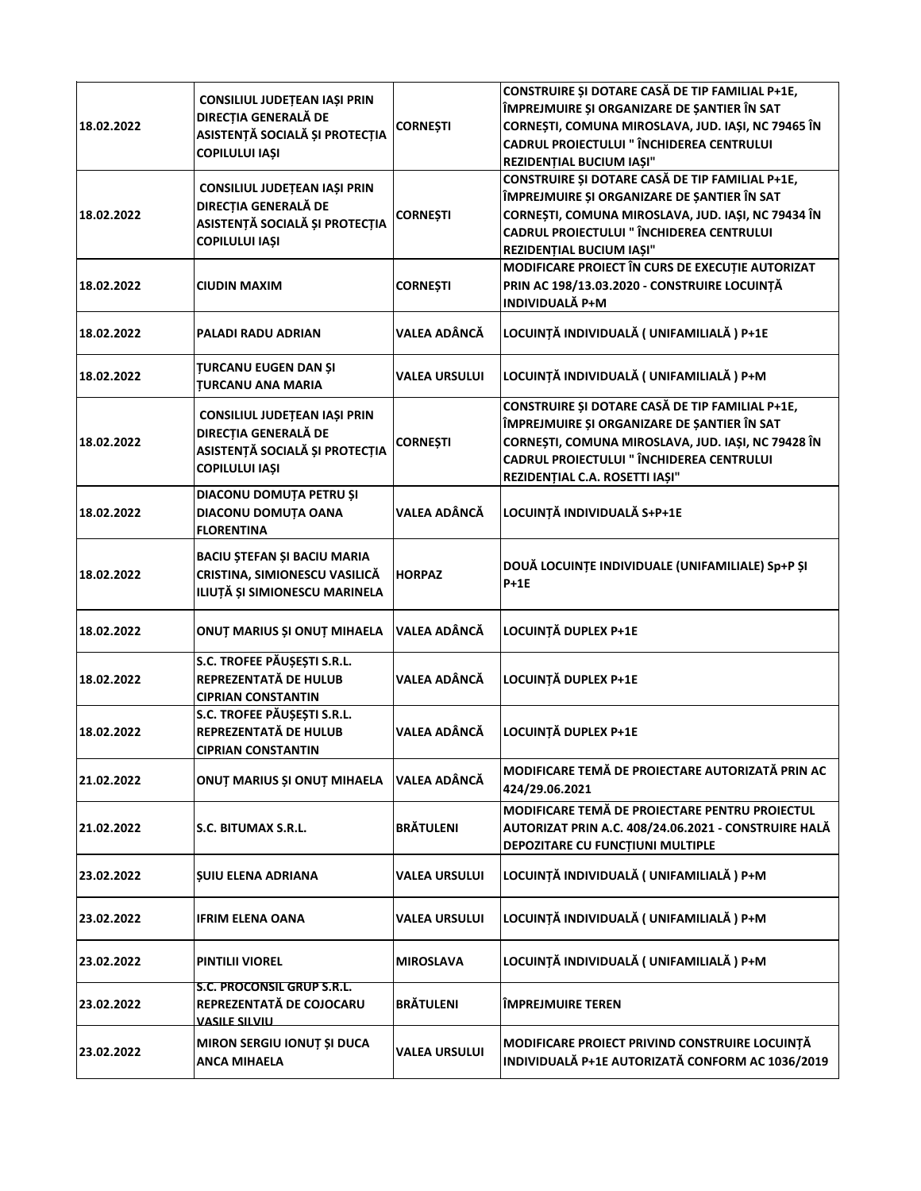| 18.02.2022 | CONSILIUL JUDEȚEAN IAȘI PRIN<br>DIRECȚIA GENERALĂ DE<br>ASISTENȚĂ SOCIALĂ ȘI PROTECȚIA<br><b>COPILULUI IAȘI</b>        | <b>CORNEȘTI</b>      | CONSTRUIRE ȘI DOTARE CASĂ DE TIP FAMILIAL P+1E,<br>ÎMPREJMUIRE ȘI ORGANIZARE DE ȘANTIER ÎN SAT<br>CORNEȘTI, COMUNA MIROSLAVA, JUD. IAȘI, NC 79465 ÎN<br><b>CADRUL PROIECTULUI " ÎNCHIDEREA CENTRULUI</b><br>REZIDENȚIAL BUCIUM IAȘI"        |
|------------|------------------------------------------------------------------------------------------------------------------------|----------------------|---------------------------------------------------------------------------------------------------------------------------------------------------------------------------------------------------------------------------------------------|
| 18.02.2022 | CONSILIUL JUDEȚEAN IAȘI PRIN<br>DIRECȚIA GENERALĂ DE<br>ASISTENȚĂ SOCIALĂ ȘI PROTECȚIA<br><b>COPILULUI IAȘI</b>        | <b>CORNEȘTI</b>      | <b>CONSTRUIRE ȘI DOTARE CASĂ DE TIP FAMILIAL P+1E,</b><br>ÎMPREJMUIRE ȘI ORGANIZARE DE ȘANTIER ÎN SAT<br>CORNEȘTI, COMUNA MIROSLAVA, JUD. IAȘI, NC 79434 ÎN<br><b>CADRUL PROIECTULUI " ÎNCHIDEREA CENTRULUI</b><br>REZIDENȚIAL BUCIUM IAȘI" |
| 18.02.2022 | <b>CIUDIN MAXIM</b>                                                                                                    | <b>CORNEȘTI</b>      | MODIFICARE PROIECT ÎN CURS DE EXECUȚIE AUTORIZAT<br>PRIN AC 198/13.03.2020 - CONSTRUIRE LOCUINȚĂ<br><b>INDIVIDUALĂ P+M</b>                                                                                                                  |
| 18.02.2022 | PALADI RADU ADRIAN                                                                                                     | <b>VALEA ADÂNCĂ</b>  | LOCUINȚĂ INDIVIDUALĂ ( UNIFAMILIALĂ ) P+1E                                                                                                                                                                                                  |
| 18.02.2022 | <b>TURCANU EUGEN DAN ȘI</b><br><b>TURCANU ANA MARIA</b>                                                                | <b>VALEA URSULUI</b> | LOCUINȚĂ INDIVIDUALĂ ( UNIFAMILIALĂ ) P+M                                                                                                                                                                                                   |
| 18.02.2022 | CONSILIUL JUDEȚEAN IAȘI PRIN<br><b>DIRECȚIA GENERALĂ DE</b><br>ASISTENȚĂ SOCIALĂ ȘI PROTECȚIA<br><b>COPILULUI IAȘI</b> | <b>CORNESTI</b>      | CONSTRUIRE ȘI DOTARE CASĂ DE TIP FAMILIAL P+1E,<br>ÎMPREJMUIRE ȘI ORGANIZARE DE ȘANTIER ÎN SAT<br>CORNEȘTI, COMUNA MIROSLAVA, JUD. IAȘI, NC 79428 ÎN<br><b>CADRUL PROIECTULUI " ÎNCHIDEREA CENTRULUI</b><br>REZIDENȚIAL C.A. ROSETTI IAȘI"  |
| 18.02.2022 | DIACONU DOMUȚA PETRU ȘI<br>DIACONU DOMUȚA OANA<br><b>FLORENTINA</b>                                                    | <b>VALEA ADÂNCĂ</b>  | LOCUINȚĂ INDIVIDUALĂ S+P+1E                                                                                                                                                                                                                 |
| 18.02.2022 | BACIU ȘTEFAN ȘI BACIU MARIA<br>CRISTINA, SIMIONESCU VASILICĂ<br>ILIUȚĂ ȘI SIMIONESCU MARINELA                          | <b>HORPAZ</b>        | DOUĂ LOCUINȚE INDIVIDUALE (UNIFAMILIALE) Sp+P ȘI<br>$P+1E$                                                                                                                                                                                  |
| 18.02.2022 | ONUȚ MARIUS ȘI ONUȚ MIHAELA                                                                                            | <b>VALEA ADÂNCĂ</b>  | LOCUINȚĂ DUPLEX P+1E                                                                                                                                                                                                                        |
| 18.02.2022 | S.C. TROFEE PĂUȘEȘTI S.R.L.<br>REPREZENTATĂ DE HULUB<br><b>CIPRIAN CONSTANTIN</b>                                      | <b>VALEA ADÂNCĂ</b>  | LOCUINȚĂ DUPLEX P+1E                                                                                                                                                                                                                        |
| 18.02.2022 | S.C. TROFEE PĂUȘEȘTI S.R.L.<br>REPREZENTATĂ DE HULUB<br><b>CIPRIAN CONSTANTIN</b>                                      | <b>VALEA ADÂNCĂ</b>  | LOCUINȚĂ DUPLEX P+1E                                                                                                                                                                                                                        |
| 21.02.2022 | ONUȚ MARIUS ȘI ONUȚ MIHAELA                                                                                            | VALEA ADÂNCĂ         | MODIFICARE TEMĂ DE PROIECTARE AUTORIZATĂ PRIN AC<br>424/29.06.2021                                                                                                                                                                          |
| 21.02.2022 | S.C. BITUMAX S.R.L.                                                                                                    | <b>BRÄTULENI</b>     | MODIFICARE TEMĂ DE PROIECTARE PENTRU PROIECTUL<br>AUTORIZAT PRIN A.C. 408/24.06.2021 - CONSTRUIRE HALĂ<br>DEPOZITARE CU FUNCȚIUNI MULTIPLE                                                                                                  |
| 23.02.2022 | <b>SUIU ELENA ADRIANA</b>                                                                                              | VALEA URSULUI        | LOCUINȚĂ INDIVIDUALĂ ( UNIFAMILIALĂ ) P+M                                                                                                                                                                                                   |
| 23.02.2022 | <b>IFRIM ELENA OANA</b>                                                                                                | <b>VALEA URSULUI</b> | LOCUINȚĂ INDIVIDUALĂ ( UNIFAMILIALĂ ) P+M                                                                                                                                                                                                   |
| 23.02.2022 | <b>PINTILII VIOREL</b>                                                                                                 | <b>MIROSLAVA</b>     | LOCUINȚĂ INDIVIDUALĂ ( UNIFAMILIALĂ ) P+M                                                                                                                                                                                                   |
| 23.02.2022 | <u>S.C. PROCONSIL GRUP S.R.L.</u><br>REPREZENTATĂ DE COJOCARU<br><b>VASILE SILVIU</b>                                  | <b>BRÄTULENI</b>     | <b>IMPREJMUIRE TEREN</b>                                                                                                                                                                                                                    |
| 23.02.2022 | MIRON SERGIU IONUȚ ȘI DUCA<br><b>ANCA MIHAELA</b>                                                                      | <b>VALEA URSULUI</b> | MODIFICARE PROIECT PRIVIND CONSTRUIRE LOCUINȚĂ<br>INDIVIDUALĂ P+1E AUTORIZATĂ CONFORM AC 1036/2019                                                                                                                                          |